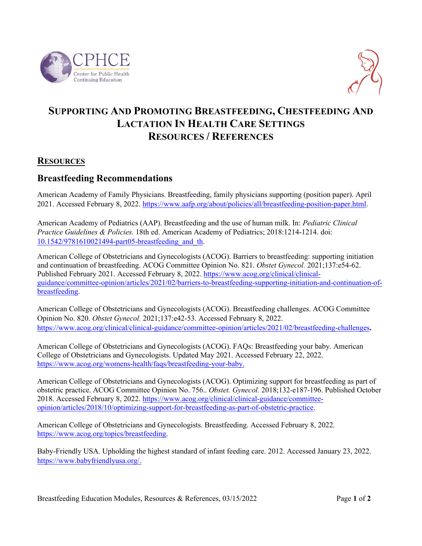



# **SUPPORTING AND PROMOTING BREASTFEEDING, CHESTFEEDING AND LACTATION IN HEALTH CARE SETTINGS RESOURCES / REFERENCES**

#### **RESOURCES**

#### **Breastfeeding Recommendations**

American Academy of Family Physicians. Breastfeeding, family physicians supporting (position paper). April 2021. Accessed February 8, 2022[. https://www.aafp.org/about/policies/all/breastfeeding-position-paper.html.](https://www.aafp.org/about/policies/all/breastfeeding-position-paper.html)

American Academy of Pediatrics (AAP). Breastfeeding and the use of human milk. In: *Pediatric Clinical Practice Guidelines & Policies.* 18th ed. American Academy of Pediatrics; 2018:1214-1214. doi: [10.1542/9781610021494-part05-breastfeeding\\_and\\_th.](https://doi.org/10.1542/9781610021494-part05-breastfeeding_and_th)

American College of Obstetricians and Gynecologists (ACOG). Barriers to breastfeeding: supporting initiation and continuation of breastfeeding. ACOG Committee Opinion No. 821. *Obstet Gynecol.* 2021;137:e54-62. Published February 2021. Accessed February 8, 2022. [https://www.acog.org/clinical/clinical](https://www.acog.org/clinical/clinical-guidance/committee-opinion/articles/2021/02/barriers-to-breastfeeding-supporting-initiation-and-continuation-of-breastfeeding)[guidance/committee-opinion/articles/2021/02/barriers-to-breastfeeding-supporting-initiation-and-continuation-of](https://www.acog.org/clinical/clinical-guidance/committee-opinion/articles/2021/02/barriers-to-breastfeeding-supporting-initiation-and-continuation-of-breastfeeding)[breastfeeding.](https://www.acog.org/clinical/clinical-guidance/committee-opinion/articles/2021/02/barriers-to-breastfeeding-supporting-initiation-and-continuation-of-breastfeeding)

American College of Obstetricians and Gynecologists (ACOG). Breastfeeding challenges. ACOG Committee Opinion No. 820. *Obstet Gynecol.* 2021;137:e42-53. Accessed February 8, 2022. <https://www.acog.org/clinical/clinical-guidance/committee-opinion/articles/2021/02/breastfeeding-challenges>**.** 

American College of Obstetricians and Gynecologists (ACOG). FAQs: Breastfeeding your baby. American College of Obstetricians and Gynecologists. Updated May 2021. Accessed February 22, 2022. [https://www.acog.org/womens-health/faqs/breastfeeding-your-baby.](https://www.acog.org/womens-health/faqs/breastfeeding-your-baby)

American College of Obstetricians and Gynecologists (ACOG). Optimizing support for breastfeeding as part of obstetric practice. ACOG Committee Opinion No. 756.. *Obstet. Gynecol.* 2018;132-e187-196. Published October 2018. Accessed February 8, 2022[. https://www.acog.org/clinical/clinical-guidance/committee](https://www.acog.org/clinical/clinical-guidance/committee-opinion/articles/2018/10/optimizing-support-for-breastfeeding-as-part-of-obstetric-practice)[opinion/articles/2018/10/optimizing-support-for-breastfeeding-as-part-of-obstetric-practice.](https://www.acog.org/clinical/clinical-guidance/committee-opinion/articles/2018/10/optimizing-support-for-breastfeeding-as-part-of-obstetric-practice)

American College of Obstetricians and Gynecologists. Breastfeeding. Accessed February 8, 2022. [https://www.acog.org/topics/breastfeeding.](https://www.acog.org/topics/breastfeeding)

Baby-Friendly USA. Upholding the highest standard of infant feeding care. 2012. Accessed January 23, 2022. [https://www.babyfriendlyusa.org/.](https://www.babyfriendlyusa.org/)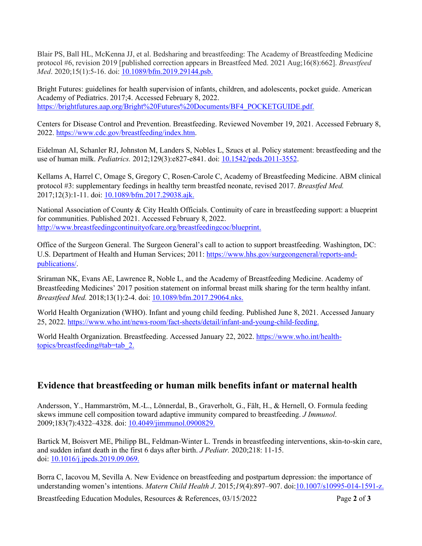Blair PS, Ball HL, McKenna JJ, et al. Bedsharing and breastfeeding: The Academy of Breastfeeding Medicine protocol #6, revision 2019 [published correction appears in Breastfeed Med. 2021 Aug;16(8):662]. *Breastfeed Med*. 2020;15(1):5-16. doi: [10.1089/bfm.2019.29144.psb.](https://pubmed.ncbi.nlm.nih.gov/31898916/)

Bright Futures: guidelines for health supervision of infants, children, and adolescents, pocket guide. American Academy of Pediatrics. 2017;4. Accessed February 8, 2022. [https://brightfutures.aap.org/Bright%20Futures%20Documents/BF4\\_POCKETGUIDE.pdf.](https://brightfutures.aap.org/Bright%20Futures%20Documents/BF4_POCKETGUIDE.pdf)

Centers for Disease Control and Prevention. Breastfeeding. Reviewed November 19, 2021. Accessed February 8, 2022. [https://www.cdc.gov/breastfeeding/index.htm.](https://www.cdc.gov/breastfeeding/index.htm)

Eidelman AI, Schanler RJ, Johnston M, Landers S, Nobles L, Szucs et al. Policy statement: breastfeeding and the use of human milk. *Pediatrics.* 2012;129(3):e827-e841. doi: [10.1542/peds.2011-3552.](https://publications.aap.org/pediatrics/article/129/3/e827/31785/Breastfeeding-and-the-Use-of-Human-Milk)

Kellams A, Harrel C, Omage S, Gregory C, Rosen-Carole C, Academy of Breastfeeding Medicine. ABM clinical protocol #3: supplementary feedings in healthy term breastfed neonate, revised 2017. *Breastfed Med.*  2017;12(3):1-11. doi: [10.1089/bfm.2017.29038.ajk.](https://abm.memberclicks.net/assets/DOCUMENTS/PROTOCOLS/3-supplementation-protocol-english.pdf) 

National Association of County & City Health Officials. Continuity of care in breastfeeding support: a blueprint for communities. Published 2021. Accessed February 8, 2022. [http://www.breastfeedingcontinuityofcare.org/breastfeedingcoc/blueprint.](http://www.breastfeedingcontinuityofcare.org/breastfeedingcoc/blueprint)

Office of the Surgeon General. The Surgeon General's call to action to support breastfeeding. Washington, DC: U.S. Department of Health and Human Services; 2011: [https://www.hhs.gov/surgeongeneral/reports-and](https://www.hhs.gov/surgeongeneral/reports-and-publications/)[publications/.](https://www.hhs.gov/surgeongeneral/reports-and-publications/)

Sriraman NK, Evans AE, Lawrence R, Noble L, and the Academy of Breastfeeding Medicine. Academy of Breastfeeding Medicines' 2017 position statement on informal breast milk sharing for the term healthy infant. *Breastfeed Med.* 2018;13(1):2-4. doi: [10.1089/bfm.2017.29064.nks.](https://abm.memberclicks.net/assets/DOCUMENTS/ABM)

World Health Organization (WHO). Infant and young child feeding. Published June 8, 2021. Accessed January 25, 2022. [https://www.who.int/news-room/fact-sheets/detail/infant-and-young-child-feeding.](https://www.who.int/news-room/fact-sheets/detail/infant-and-young-child-feeding)

World Health Organization. Breastfeeding. Accessed January 22, 2022[. https://www.who.int/health](https://www.who.int/health-topics/breastfeeding#tab=tab_2)[topics/breastfeeding#tab=tab\\_2.](https://www.who.int/health-topics/breastfeeding#tab=tab_2)

## **Evidence that breastfeeding or human milk benefits infant or maternal health**

Andersson, Y., Hammarström, M.-L., Lönnerdal, B., Graverholt, G., Fält, H., & Hernell, O. Formula feeding skews immune cell composition toward adaptive immunity compared to breastfeeding. *J Immunol*. 2009;183(7):4322–4328. doi: [10.4049/jimmunol.0900829.](https://doi.org/10.4049/jimmunol.0900829)

Bartick M, Boisvert ME, Philipp BL, Feldman-Winter L. Trends in breastfeeding interventions, skin-to-skin care, and sudden infant death in the first 6 days after birth. *J Pediatr.* 2020;218: 11-15. doi: [10.1016/j.jpeds.2019.09.069.](https://doi.org/10.1016/j.jpeds.2019.09.069)

Borra C, Iacovou M, Sevilla A. New Evidence on breastfeeding and postpartum depression: the importance of understanding women's intentions. *Matern Child Health J*. 2015;*19*(4):897–907. doi[:10.1007/s10995-014-1591-z.](https://doi.org/10.1007/s10995-014-1591-z)

Breastfeeding Education Modules, Resources & References, 03/15/2022 Page **2** of **3**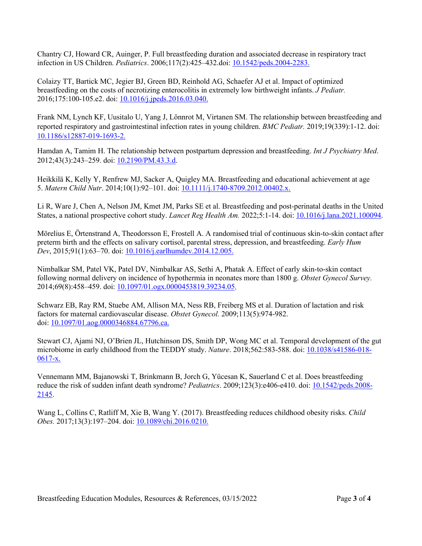Chantry CJ, Howard CR, Auinger, P. Full breastfeeding duration and associated decrease in respiratory tract infection in US Children. *Pediatrics*. 2006;117(2):425–432.doi: [10.1542/peds.2004-2283.](https://doi.org/10.1542/peds.2004-2283)

Colaizy TT, Bartick MC, Jegier BJ, Green BD, Reinhold AG, Schaefer AJ et al. Impact of optimized breastfeeding on the costs of necrotizing enterocolitis in extremely low birthweight infants. *J Pediatr.*  2016;175:100-105.e2. doi: [10.1016/j.jpeds.2016.03.040.](https://doi.org/10.1016/j.jpeds.2016.03.040)

Frank NM, Lynch KF, Uusitalo U, Yang J, Lönnrot M, Virtanen SM. The relationship between breastfeeding and reported respiratory and gastrointestinal infection rates in young children. *BMC Pediatr.* 2019;19(339):1-12. doi: [10.1186/s12887-019-1693-2.](https://bmcpediatr.biomedcentral.com/articles/10.1186/s12887-019-1693-2) 

Hamdan A, Tamim H. The relationship between postpartum depression and breastfeeding. *Int J Psychiatry Med*. 2012;43(3):243–259. doi: [10.2190/PM.43.3.d.](https://journals.sagepub.com/doi/10.2190/PM.43.3.d)

Heikkilä K, Kelly Y, Renfrew MJ, Sacker A, Quigley MA. Breastfeeding and educational achievement at age 5. *Matern Child Nutr*. 2014;10(1):92–101. doi: [10.1111/j.1740-8709.2012.00402.x](https://doi.org/10.1111/j.1740-8709.2012.00402.x).

Li R, Ware J, Chen A, Nelson JM, Kmet JM, Parks SE et al. Breastfeeding and post-perinatal deaths in the United States, a national prospective cohort study. *Lancet Reg Health Am.* 2022;5:1-14. doi: [10.1016/j.lana.2021.100094.](https://doi.org/10.1016/j.lana.2021.100094)

Mörelius E, Örtenstrand A, Theodorsson E, Frostell A. A randomised trial of continuous skin-to-skin contact after preterm birth and the effects on salivary cortisol, parental stress, depression, and breastfeeding. *Early Hum Dev*, 2015;91(1):63–70. doi: [10.1016/j.earlhumdev.2014.12.005.](https://doi.org/10.1016/j.earlhumdev.2014.12.005)

Nimbalkar SM, Patel VK, Patel DV, Nimbalkar AS, Sethi A, Phatak A. Effect of early skin-to-skin contact following normal delivery on incidence of hypothermia in neonates more than 1800 g. *Obstet Gynecol Survey.*  2014;69(8):458–459. doi: [10.1097/01.ogx.0000453819.39234.05.](https://doi.org/10.1097/01.ogx.0000453819.39234.05)

Schwarz EB, Ray RM, Stuebe AM, Allison MA, Ness RB, Freiberg MS et al. Duration of lactation and risk factors for maternal cardiovascular disease. *Obstet Gynecol.* 2009;113(5):974-982. doi: [10.1097/01.aog.0000346884.67796.ca.](https://doi.org/10.1097/01.aog.0000346884.67796.ca)

Stewart CJ, Ajami NJ, O'Brien JL, Hutchinson DS, Smith DP, Wong MC et al. Temporal development of the gut microbiome in early childhood from the TEDDY study. *Nature*. 2018;562:583-588. doi: [10.1038/s41586-018-](https://doi.org/10.1038/s41586-018-0617-x)  $0617-x.$ 

Vennemann MM, Bajanowski T, Brinkmann B, Jorch G, Yücesan K, Sauerland C et al. Does breastfeeding reduce the risk of sudden infant death syndrome? *Pediatrics*. 2009;123(3):e406-e410. doi: [10.1542/peds.2008-](https://doi.org/10.1542/peds.2008-2145) [2145.](https://doi.org/10.1542/peds.2008-2145)

Wang L, Collins C, Ratliff M, Xie B, Wang Y. (2017). Breastfeeding reduces childhood obesity risks. *Child Obes.* 2017;13(3):197–204. doi: [10.1089/chi.2016.0210.](https://doi.org/10.1089/chi.2016.0210)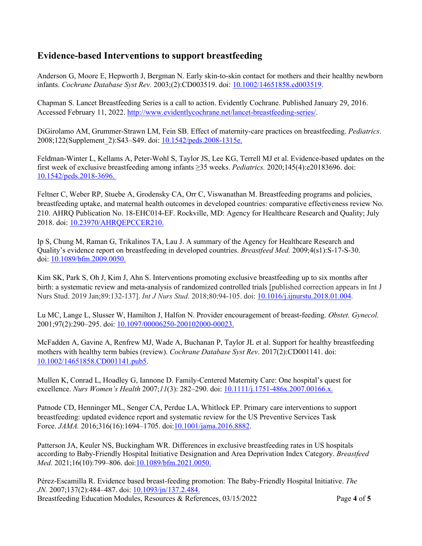## **Evidence-based Interventions to support breastfeeding**

Anderson G, Moore E, Hepworth J, Bergman N. Early skin-to-skin contact for mothers and their healthy newborn infants. *Cochrane Database Syst Rev.* 2003;(2):CD003519. doi: [10.1002/14651858.cd003519.](https://doi.org/10.1002/14651858.cd003519)

Chapman S. Lancet Breastfeeding Series is a call to action. Evidently Cochrane. Published January 29, 2016. Accessed February 11, 2022[. http://www.evidentlycochrane.net/lancet-breastfeeding-series/.](http://www.evidentlycochrane.net/lancet-breastfeeding-series/)

DiGirolamo AM, Grummer-Strawn LM, Fein SB. Effect of maternity-care practices on breastfeeding. *Pediatrics*. 2008;122(Supplement 2):S43–S49. doi: [10.1542/peds.2008-1315e.](https://doi.org/10.1542/peds.2008-1315e)

Feldman-Winter L, Kellams A, Peter-Wohl S, Taylor JS, Lee KG, Terrell MJ et al. Evidence-based updates on the first week of exclusive breastfeeding among infants ≥35 weeks. *Pediatrics.* 2020;145(4):e20183696. doi: [10.1542/peds.2018-3696.](https://publications.aap.org/pediatrics/article/145/4/e20183696/36972/Evidence-Based-Updates-on-the-First-Week-of) 

Feltner C, Weber RP, Stuebe A, Grodensky CA, Orr C, Viswanathan M. Breastfeeding programs and policies, breastfeeding uptake, and maternal health outcomes in developed countries: comparative effectiveness review No. 210. AHRQ Publication No. 18-EHC014-EF. Rockville, MD: Agency for Healthcare Research and Quality; July 2018. doi: [10.23970/AHRQEPCCER210.](https://effectivehealthcare.ahrq.gov/products/breastfeeding/research)

Ip S, Chung M, Raman G, Trikalinos TA, Lau J. A summary of the Agency for Healthcare Research and Quality's evidence report on breastfeeding in developed countries. *Breastfeed Med.* 2009;4(s1):S-17-S-30. doi: [10.1089/bfm.2009.0050.](https://doi.org/10.1089/bfm.2009.0050)

Kim SK, Park S, Oh J, Kim J, Ahn S. Interventions promoting exclusive breastfeeding up to six months after birth: a systematic review and meta-analysis of randomized controlled trials [published correction appears in Int J Nurs Stud. 2019 Jan;89:132-137]. *Int J Nurs Stud*. 2018;80:94-105. doi: [10.1016/j.ijnurstu.2018.01.004.](https://pubmed.ncbi.nlm.nih.gov/29407349/)

Lu MC, Lange L, Slusser W, Hamilton J, Halfon N. Provider encouragement of breast-feeding. *Obstet. Gynecol.*  2001;97(2):290–295. doi: [10.1097/00006250-200102000-00023.](https://doi.org/10.1097/00006250-200102000-00023)

McFadden A, Gavine A, Renfrew MJ, Wade A, Buchanan P, Taylor JL et al. Support for healthy breastfeeding mothers with healthy term babies (review). *Cochrane Database Syst Rev*. 2017(2):CD001141. doi: [10.1002/14651858.CD001141.pub5.](https://www.cochranelibrary.com/cdsr/doi/10.1002/14651858.CD001141.pub5/full)

Mullen K, Conrad L, Hoadley G, Iannone D. Family‐Centered Maternity Care: One hospital's quest for excellence. *Nurs Women's Health* 2007;*11*(3): 282–290. doi: 10.1111/*j*.1751-486x.2007.00166.x.

Patnode CD, Henninger ML, Senger CA, Perdue LA, Whitlock EP. Primary care interventions to support breastfeeding: updated evidence report and systematic review for the US Preventive Services Task Force. *JAMA.* 2016;316(16):1694–1705. doi[:10.1001/jama.2016.8882.](https://jamanetwork.com/journals/jama/fullarticle/2571248)

Patterson JA, Keuler NS, Buckingham WR. Differences in exclusive breastfeeding rates in US hospitals according to Baby-Friendly Hospital Initiative Designation and Area Deprivation Index Category. *Breastfeed Med.* 2021;16(10):799–806. doi[:10.1089/bfm.2021.0050.](https://doi.org/10.1089/bfm.2021.0050)

Breastfeeding Education Mod[ules, Resources & Refer](https://doi.org/10.1093/jn/137.2.484)ences, 03/15/2022 Page **4** of **5** Pérez-Escamilla R. Evidence based breast-feeding promotion: The Baby-Friendly Hospital Initiative. *The JN.* 2007;137(2):484–487. doi: 10.1093/jn/137.2.484.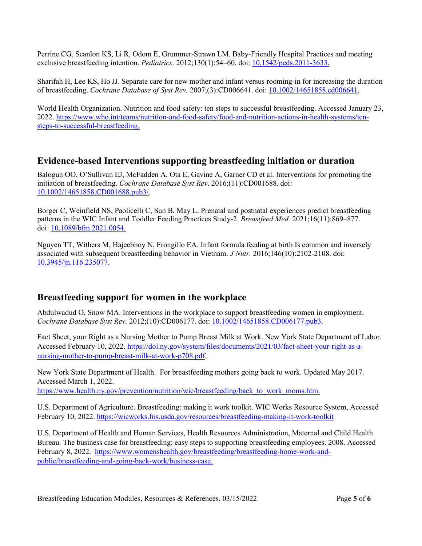Perrine CG, Scanlon KS, Li R, Odom E, Grummer-Strawn LM. Baby-Friendly Hospital Practices and meeting exclusive breastfeeding intention. *Pediatrics.* 2012;130(1):54–60. doi: [10.1542/peds.2011-3633.](https://doi.org/10.1542/peds.2011-3633)

Sharifah H, Lee KS, Ho JJ. Separate care for new mother and infant versus rooming-in for increasing the duration of breastfeeding. *Cochrane Database of Syst Rev.* 2007;(3):CD006641. doi: [10.1002/14651858.cd006641.](https://doi.org/10.1002/14651858.cd006641)

World Health Organization. Nutrition and food safety: ten steps to successful breastfeeding. Accessed January 23, 2022. [https://www.who.int/teams/nutrition-and-food-safety/food-and-nutrition-actions-in-health-systems/ten](https://www.who.int/teams/nutrition-and-food-safety/food-and-nutrition-actions-in-health-systems/ten-steps-to-successful-breastfeeding)[steps-to-successful-breastfeeding.](https://www.who.int/teams/nutrition-and-food-safety/food-and-nutrition-actions-in-health-systems/ten-steps-to-successful-breastfeeding)

### **Evidence-based Interventions supporting breastfeeding initiation or duration**

Balogun OO, O'Sullivan EJ, McFadden A, Ota E, Gavine A, Garner CD et al. Interventions for promoting the initiation of breastfeeding. *Cochrane Database Syst Rev*. 2016;(11):CD001688. doi: [10.1002/14651858.CD001688.pub3/.](https://www.cochranelibrary.com/cdsr/doi/10.1002/14651858.CD001688.pub3/full)

Borger C, Weinfield NS, Paolicelli C, Sun B, May L. Prenatal and postnatal experiences predict breastfeeding patterns in the WIC Infant and Toddler Feeding Practices Study-2. *Breastfeed Med.* 2021;16(11):869–877. doi: [10.1089/bfm.2021.0054.](https://doi.org/10.1089/bfm.2021.0054)

Nguyen TT, Withers M, Hajeebhoy N, Frongillo EA. Infant formula feeding at birth Is common and inversely associated with subsequent breastfeeding behavior in Vietnam. *J Nutr.* 2016;146(10):2102-2108. doi: [10.3945/jn.116.235077.](https://academic.oup.com/jn/article/146/10/2102/4653335) 

## **Breastfeeding support for women in the workplace**

Abdulwadud O, Snow MA. Interventions in the workplace to support breastfeeding women in employment. *Cochrane Database Syst Rev.* 2012;(10):CD006177. doi: [10.1002/14651858.CD006177.pub3.](https://www.cochranelibrary.com/cdsr/doi/10.1002/14651858.CD006177.pub3/full) 

Fact Sheet, your Right as a Nursing Mother to Pump Breast Milk at Work. New York State Department of Labor. Accessed February 10, 2022[. https://dol.ny.gov/system/files/documents/2021/03/fact-sheet-your-right-as-a](https://dol.ny.gov/system/files/documents/2021/03/fact-sheet-your-right-as-a-nursing-mother-to-pump-breast-milk-at-work-p708.pdf)[nursing-mother-to-pump-breast-milk-at-work-p708.pdf.](https://dol.ny.gov/system/files/documents/2021/03/fact-sheet-your-right-as-a-nursing-mother-to-pump-breast-milk-at-work-p708.pdf)

New York State Department of Health. For breastfeeding mothers going back to work. Updated May 2017. Accessed March 1, 2022.

[https://www.health.ny.gov/prevention/nutrition/wic/breastfeeding/back\\_to\\_work\\_moms.htm.](https://www.health.ny.gov/prevention/nutrition/wic/breastfeeding/back_to_work_moms.htm)

U.S. Department of Agriculture. Breastfeeding: making it work toolkit. WIC Works Resource System, Accessed February 10, 2022.<https://wicworks.fns.usda.gov/resources/breastfeeding-making-it-work-toolkit>

U.S. Department of Health and Human Services, Health Resources Administration, Maternal and Child Health Bureau. The business case for breastfeeding: easy steps to supporting breastfeeding employees. 2008. Accessed February 8, 2022. [https://www.womenshealth.gov/breastfeeding/breastfeeding-home-work-and](https://www.womenshealth.gov/breastfeeding/breastfeeding-home-work-and-public/breastfeeding-and-going-back-work/business-case)[public/breastfeeding-and-going-back-work/business-case.](https://www.womenshealth.gov/breastfeeding/breastfeeding-home-work-and-public/breastfeeding-and-going-back-work/business-case)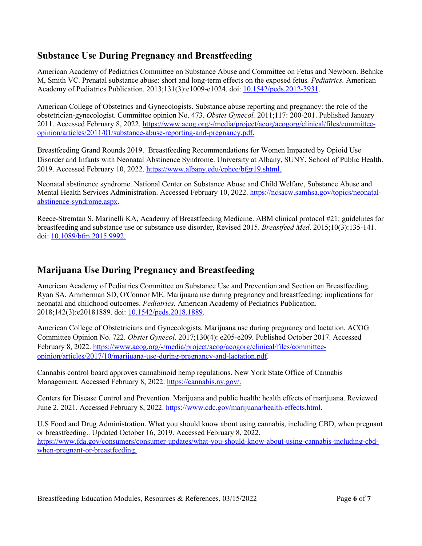## **Substance Use During Pregnancy and Breastfeeding**

American Academy of Pediatrics Committee on Substance Abuse and Committee on Fetus and Newborn. Behnke M, Smith VC. Prenatal substance abuse: short and long-term effects on the exposed fetus*. Pediatrics.* American Academy of Pediatrics Publication. 2013;131(3):e1009-e1024. doi: [10.1542/peds.2012-3931.](https://doi.org/10.1542/peds.2012-3931)

American College of Obstetrics and Gynecologists. Substance abuse reporting and pregnancy: the role of the obstetrician-gynecologist. Committee opinion No. 473. *Obstet Gynecol.* 2011;117: 200-201. Published January 2011. Accessed February 8, 2022[. https://www.acog.org/-/media/project/acog/acogorg/clinical/files/committee](https://www.acog.org/-/media/project/acog/acogorg/clinical/files/committee-opinion/articles/2011/01/substance-abuse-reporting-and-pregnancy.pdf)[opinion/articles/2011/01/substance-abuse-reporting-and-pregnancy.pdf.](https://www.acog.org/-/media/project/acog/acogorg/clinical/files/committee-opinion/articles/2011/01/substance-abuse-reporting-and-pregnancy.pdf)

Breastfeeding Grand Rounds 2019. Breastfeeding Recommendations for Women Impacted by Opioid Use Disorder and Infants with Neonatal Abstinence Syndrome. University at Albany, SUNY, School of Public Health. 2019. Accessed February 10, 2022. [https://www.albany.edu/cphce/bfgr19.shtml.](https://www.albany.edu/cphce/bfgr19.shtml)

Neonatal abstinence syndrome. National Center on Substance Abuse and Child Welfare, Substance Abuse and Mental Health Services Administration. Accessed February 10, 2022. [https://ncsacw.samhsa.gov/topics/neonatal](https://ncsacw.samhsa.gov/topics/neonatal-abstinence-syndrome.aspx)[abstinence-syndrome.aspx.](https://ncsacw.samhsa.gov/topics/neonatal-abstinence-syndrome.aspx)

Reece-Stremtan S, Marinelli KA, Academy of Breastfeeding Medicine. ABM clinical protocol #21: guidelines for breastfeeding and substance use or substance use disorder, Revised 2015. *Breastfeed Med*. 2015;10(3):135-141. doi: [10.1089/bfm.2015.9992.](https://abm.memberclicks.net/assets/DOCUMENTS/PROTOCOLS/21-drug-dependency-protocol-english.pdf) 

## **Marijuana Use During Pregnancy and Breastfeeding**

American Academy of Pediatrics Committee on Substance Use and Prevention and Section on Breastfeeding. Ryan SA, Ammerman SD, O'Connor ME. Marijuana use during pregnancy and breastfeeding: implications for neonatal and childhood outcomes. *Pediatrics.* American Academy of Pediatrics Publication. 2018;142(3):e20181889. doi[: 10.1542/peds.2018.1889.](https://doi.org/10.1542/peds.2018-1889)

American College of Obstetricians and Gynecologists. Marijuana use during pregnancy and lactation. ACOG Committee Opinion No. 722. *Obstet Gynecol*. 2017;130(4): e205-e209. Published October 2017. Accessed February 8, 2022. [https://www.acog.org/-/media/project/acog/acogorg/clinical/files/committee](https://www.acog.org/-/media/project/acog/acogorg/clinical/files/committee-opinion/articles/2017/10/marijuana-use-during-pregnancy-and-lactation.pdf)[opinion/articles/2017/10/marijuana-use-during-pregnancy-and-lactation.pdf.](https://www.acog.org/-/media/project/acog/acogorg/clinical/files/committee-opinion/articles/2017/10/marijuana-use-during-pregnancy-and-lactation.pdf)

Cannabis control board approves cannabinoid hemp regulations. New York State Office of Cannabis Management. Accessed February 8, 2022. [https://cannabis.ny.gov/.](https://cannabis.ny.gov/)

Centers for Disease Control and Prevention. Marijuana and public health: health effects of marijuana. Reviewed June 2, 2021. Accessed February 8, 2022. [https://www.cdc.gov/marijuana/health-effects.html.](https://www.cdc.gov/marijuana/health-effects.html)

U.S Food and Drug Administration. What you should know about using cannabis, including CBD, when pregnant or breastfeeding.. Updated October 16, 2019. Accessed February 8, 2022. [https://www.fda.gov/consumers/consumer-updates/what-you-should-know-about-using-cannabis-including-cbd](https://www.fda.gov/consumers/consumer-updates/what-you-should-know-about-using-cannabis-including-cbd-when-pregnant-or-breastfeeding)[when-pregnant-or-breastfeeding.](https://www.fda.gov/consumers/consumer-updates/what-you-should-know-about-using-cannabis-including-cbd-when-pregnant-or-breastfeeding)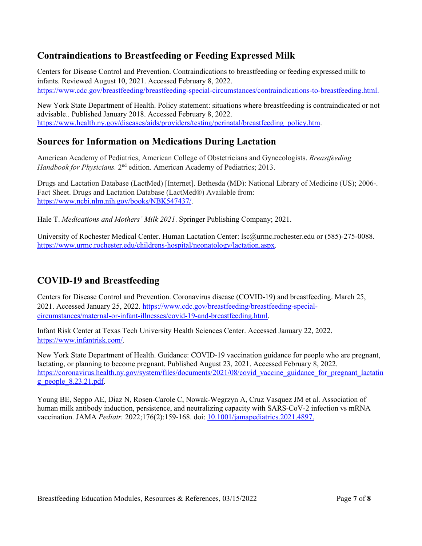## **Contraindications to Breastfeeding or Feeding Expressed Milk**

Centers for Disease Control and Prevention. Contraindications to breastfeeding or feeding expressed milk to infants. Reviewed August 10, 2021. Accessed February 8, 2022. [https://www.cdc.gov/breastfeeding/breastfeeding-special-circumstances/contraindications-to-breastfeeding.html.](https://www.cdc.gov/breastfeeding/breastfeeding-special-circumstances/contraindications-to-breastfeeding.html)

New York State Department of Health. Policy statement: situations where breastfeeding is contraindicated or not advisable.. Published January 2018. Accessed February 8, 2022. [https://www.health.ny.gov/diseases/aids/providers/testing/perinatal/breastfeeding\\_policy.htm.](https://www.health.ny.gov/diseases/aids/providers/testing/perinatal/breastfeeding_policy.htm#:%7E:text=There%20are%20a%20few%20medical%20contraindications%20to%20breastfeeding%2C,T-cell%20lymphotrophic%20virus%20type%20I%20or%20type%20II.1)

## **Sources for Information on Medications During Lactation**

American Academy of Pediatrics, American College of Obstetricians and Gynecologists. *Breastfeeding Handbook for Physicians.* 2<sup>nd</sup> edition. American Academy of Pediatrics; 2013.

Drugs and Lactation Database (LactMed) [Internet]. Bethesda (MD): National Library of Medicine (US); 2006-. Fact Sheet. Drugs and Lactation Database (LactMed®) Available from: [https://www.ncbi.nlm.nih.gov/books/NBK547437/.](https://www.ncbi.nlm.nih.gov/books/NBK547437/)

Hale T. *Medications and Mothers' Milk 2021*. Springer Publishing Company; 2021.

University of Rochester Medical Center. Human Lactation Center: lsc@urmc.rochester.edu or (585)-275-0088. [https://www.urmc.rochester.edu/childrens-hospital/neonatology/lactation.aspx.](https://www.urmc.rochester.edu/childrens-hospital/neonatology/lactation.aspx)

## **COVID-19 and Breastfeeding**

Centers for Disease Control and Prevention. Coronavirus disease (COVID-19) and breastfeeding. March 25, 2021. Accessed January 25, 2022[. https://www.cdc.gov/breastfeeding/breastfeeding-special](https://www.cdc.gov/breastfeeding/breastfeeding-special-circumstances/maternal-or-infant-illnesses/covid-19-and-breastfeeding.html)[circumstances/maternal-or-infant-illnesses/covid-19-and-breastfeeding.html.](https://www.cdc.gov/breastfeeding/breastfeeding-special-circumstances/maternal-or-infant-illnesses/covid-19-and-breastfeeding.html)

Infant Risk Center at Texas Tech University Health Sciences Center. Accessed January 22, 2022. [https://www.infantrisk.com/.](https://www.infantrisk.com/)

New York State Department of Health. Guidance: COVID-19 vaccination guidance for people who are pregnant, lactating, or planning to become pregnant. Published August 23, 2021. Accessed February 8, 2022. [https://coronavirus.health.ny.gov/system/files/documents/2021/08/covid\\_vaccine\\_guidance\\_for\\_pregnant\\_lactatin](https://coronavirus.health.ny.gov/system/files/documents/2021/08/covid_vaccine_guidance_for_pregnant_lactating_people_8.23.21.pdf) g people  $8.23.21.pdf.$ 

Young BE, Seppo AE, Diaz N, Rosen-Carole C, Nowak-Wegrzyn A, Cruz Vasquez JM et al. Association of human milk antibody induction, persistence, and neutralizing capacity with SARS-CoV-2 infection vs mRNA vaccination. JAMA *Pediatr.* 2022;176(2):159-168. doi: [10.1001/jamapediatrics.2021.4897.](https://doi.org/10.1001/jamapediatrics.2021.4897)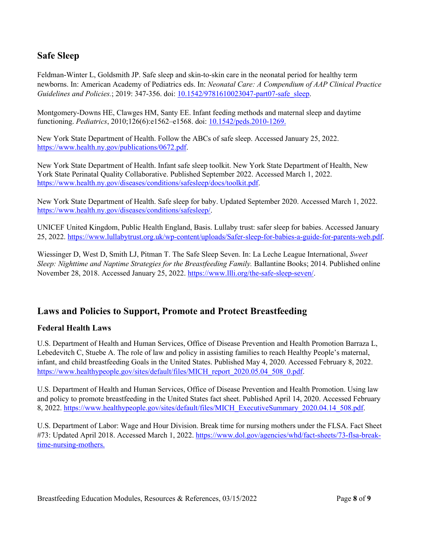## **Safe Sleep**

Feldman-Winter L, Goldsmith JP. Safe sleep and skin-to-skin care in the neonatal period for healthy term newborns. In: American Academy of Pediatrics eds. In: *Neonatal Care: A Compendium of AAP Clinical Practice Guidelines and Policies.*; 2019: 347-356. doi: [10.1542/9781610023047-part07-safe\\_sleep.](https://doi.org/10.1542/9781610023047-part07-safe_sleep)

Montgomery-Downs HE, Clawges HM, Santy EE. Infant feeding methods and maternal sleep and daytime functioning. *Pediatrics*, 2010;126(6):e1562–e1568. doi: [10.1542/peds.2010-1269.](https://doi.org/10.1542/peds.2010-1269)

New York State Department of Health. Follow the ABCs of safe sleep. Accessed January 25, 2022. [https://www.health.ny.gov/publications/0672.pdf.](https://www.health.ny.gov/publications/0672.pdf)

New York State Department of Health. Infant safe sleep toolkit. New York State Department of Health, New York State Perinatal Quality Collaborative. Published September 2022. Accessed March 1, 2022. [https://www.health.ny.gov/diseases/conditions/safesleep/docs/toolkit.pdf.](https://www.health.ny.gov/diseases/conditions/safesleep/docs/toolkit.pdf)

New York State Department of Health. Safe sleep for baby. Updated September 2020. Accessed March 1, 2022. [https://www.health.ny.gov/diseases/conditions/safesleep/.](https://www.health.ny.gov/diseases/conditions/safesleep/)

UNICEF United Kingdom, Public Health England, Basis. Lullaby trust: safer sleep for babies. Accessed January 25, 2022. [https://www.lullabytrust.org.uk/wp-content/uploads/Safer-sleep-for-babies-a-guide-for-parents-web.pdf.](https://www.lullabytrust.org.uk/wp-content/uploads/Safer-sleep-for-babies-a-guide-for-parents-web.pdf)

Wiessinger D, West D, Smith LJ, Pitman T. The Safe Sleep Seven. In: La Leche League International, *Sweet Sleep: Nighttime and Naptime Strategies for the Breastfeeding Family.* Ballantine Books; 2014. Published online November 28, 2018. Accessed January 25, 2022. [https://www.llli.org/the-safe-sleep-seven/.](https://www.llli.org/the-safe-sleep-seven/)

#### **Laws and Policies to Support, Promote and Protect Breastfeeding**

#### **Federal Health Laws**

U.S. Department of Health and Human Services, Office of Disease Prevention and Health Promotion Barraza L, Lebedevitch C, Stuebe A. The role of law and policy in assisting families to reach Healthy People's maternal, infant, and child breastfeeding Goals in the United States. Published May 4, 2020. Accessed February 8, 2022. [https://www.healthypeople.gov/sites/default/files/MICH\\_report\\_2020.05.04\\_508\\_0.pdf.](https://www.healthypeople.gov/sites/default/files/MICH_report_2020.05.04_508_0.pdf)

U.S. Department of Health and Human Services, Office of Disease Prevention and Health Promotion. Using law and policy to promote breastfeeding in the United States fact sheet. Published April 14, 2020. Accessed February 8, 2022. [https://www.healthypeople.gov/sites/default/files/MICH\\_ExecutiveSummary\\_2020.04.14\\_508.pdf.](https://www.healthypeople.gov/sites/default/files/MICH_ExecutiveSummary_2020.04.14_508.pdf)

U.S. Department of Labor: Wage and Hour Division. Break time for nursing mothers under the FLSA. Fact Sheet #73: Updated April 2018. Accessed March 1, 2022. [https://www.dol.gov/agencies/whd/fact-sheets/73-flsa-break](https://www.dol.gov/agencies/whd/fact-sheets/73-flsa-break-time-nursing-mothers)[time-nursing-mothers.](https://www.dol.gov/agencies/whd/fact-sheets/73-flsa-break-time-nursing-mothers)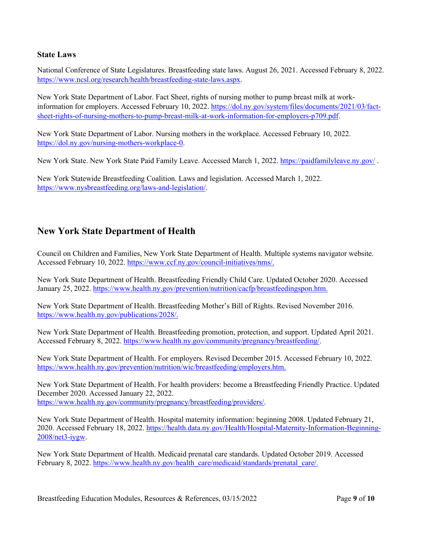#### **State Laws**

National Conference of State Legislatures. Breastfeeding state laws. August 26, 2021. Accessed February 8, 2022. [https://www.ncsl.org/research/health/breastfeeding-state-laws.aspx.](https://www.ncsl.org/research/health/breastfeeding-state-laws.aspx)

New York State Department of Labor. Fact Sheet, rights of nursing mother to pump breast milk at workinformation for employers. Accessed February 10, 2022. [https://dol.ny.gov/system/files/documents/2021/03/fact](https://dol.ny.gov/system/files/documents/2021/03/fact-sheet-rights-of-nursing-mothers-to-pump-breast-milk-at-work-information-for-employers-p709.pdf)[sheet-rights-of-nursing-mothers-to-pump-breast-milk-at-work-information-for-employers-p709.pdf.](https://dol.ny.gov/system/files/documents/2021/03/fact-sheet-rights-of-nursing-mothers-to-pump-breast-milk-at-work-information-for-employers-p709.pdf)

New York State Department of Labor. Nursing mothers in the workplace. Accessed February 10, 2022. [https://dol.ny.gov/nursing-mothers-workplace-0.](https://dol.ny.gov/nursing-mothers-workplace-0)

New York State. New York State Paid Family Leave. Accessed March 1, 2022.<https://paidfamilyleave.ny.gov/>.

New York Statewide Breastfeeding Coalition. Laws and legislation. Accessed March 1, 2022. [https://www.nysbreastfeeding.org/laws-and-legislation/.](https://www.nysbreastfeeding.org/laws-and-legislation/)

### **New York State Department of Health**

Council on Children and Families, New York State Department of Health. Multiple systems navigator website. Accessed February 10, 2022[. https://www.ccf.ny.gov/council-initiatives/nms/.](https://www.ccf.ny.gov/council-initiatives/nms/)

New York State Department of Health. Breastfeeding Friendly Child Care. Updated October 2020. Accessed January 25, 2022. [https://www.health.ny.gov/prevention/nutrition/cacfp/breastfeedingspon.htm.](https://www.health.ny.gov/prevention/nutrition/cacfp/breastfeedingspon.htm)

New York State Department of Health. Breastfeeding Mother's Bill of Rights. Revised November 2016. [https://www.health.ny.gov/publications/2028/.](https://www.health.ny.gov/publications/2028/)

New York State Department of Health. Breastfeeding promotion, protection, and support. Updated April 2021. Accessed February 8, 2022. [https://www.health.ny.gov/community/pregnancy/breastfeeding/.](https://www.health.ny.gov/community/pregnancy/breastfeeding/)

New York State Department of Health. For employers. Revised December 2015. Accessed February 10, 2022. [https://www.health.ny.gov/prevention/nutrition/wic/breastfeeding/employers.htm.](https://www.health.ny.gov/prevention/nutrition/wic/breastfeeding/employers.htm)

New York State Department of Health. For health providers: become a Breastfeeding Friendly Practice. Updated December 2020. Accessed January 22, 2022. [https://www.health.ny.gov/community/pregnancy/breastfeeding/providers/.](https://www.health.ny.gov/community/pregnancy/breastfeeding/providers/)

New York State Department of Health. Hospital maternity information: beginning 2008. Updated February 21, 2020. Accessed February 18, 2022. [https://health.data.ny.gov/Health/Hospital-Maternity-Information-Beginning-](https://health.data.ny.gov/Health/Hospital-Maternity-Information-Beginning-2008/net3-iygw)[2008/net3-iygw.](https://health.data.ny.gov/Health/Hospital-Maternity-Information-Beginning-2008/net3-iygw)

New York State Department of Health. Medicaid prenatal care standards. Updated October 2019. Accessed February 8, 2022. [https://www.health.ny.gov/health\\_care/medicaid/standards/prenatal\\_care/.](https://www.health.ny.gov/health_care/medicaid/standards/prenatal_care/)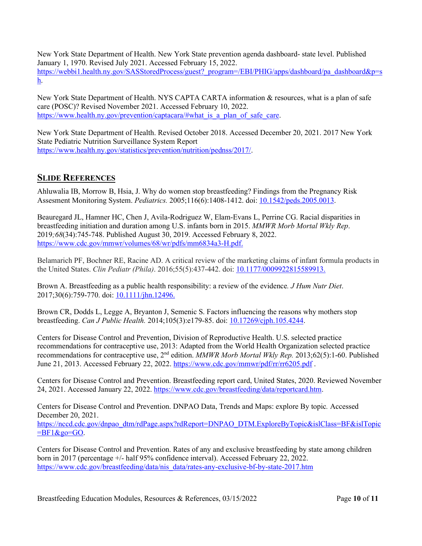New York State Department of Health. New York State prevention agenda dashboard- state level. Published January 1, 1970. Revised July 2021. Accessed February 15, 2022. [https://webbi1.health.ny.gov/SASStoredProcess/guest?\\_program=/EBI/PHIG/apps/dashboard/pa\\_dashboard&p=s](https://webbi1.health.ny.gov/SASStoredProcess/guest?_program=/EBI/PHIG/apps/dashboard/pa_dashboard&p=sh) [h.](https://webbi1.health.ny.gov/SASStoredProcess/guest?_program=/EBI/PHIG/apps/dashboard/pa_dashboard&p=sh)

New York State Department of Health. NYS CAPTA CARTA information & resources, what is a plan of safe care (POSC)? Revised November 2021. Accessed February 10, 2022. [https://www.health.ny.gov/prevention/captacara/#what\\_is\\_a\\_plan\\_of\\_safe\\_care.](https://www.health.ny.gov/prevention/captacara/#what_is_a_plan_of_safe_care)

New York State Department of Health. Revised October 2018. Accessed December 20, 2021. 2017 New York State Pediatric Nutrition Surveillance System Report [https://www.health.ny.gov/statistics/prevention/nutrition/pednss/2017/.](https://www.health.ny.gov/statistics/prevention/nutrition/pednss/2017/)

### **SLIDE REFERENCES**

Ahluwalia IB, Morrow B, Hsia, J. Why do women stop breastfeeding? Findings from the Pregnancy Risk Assesment Monitoring System. *Pediatrics.* 2005;116(6):1408-1412. doi: [10.1542/peds.2005.0013.](https://publications.aap.org/pediatrics/article-abstract/116/6/1408/62980/Why-Do-Women-Stop-Breastfeeding-Findings-From-the?redirectedFrom=fulltext)

Beauregard JL, Hamner HC, Chen J, Avila-Rodriguez W, Elam-Evans L, Perrine CG. Racial disparities in breastfeeding initiation and duration among U.S. infants born in 2015. *MMWR Morb Mortal Wkly Rep*. 2019*;68*(34):745-748. Published August 30, 2019. Accessed February 8, 2022. [https://www.cdc.gov/mmwr/volumes/68/wr/pdfs/mm6834a3-H.pdf.](https://www.cdc.gov/mmwr/volumes/68/wr/pdfs/mm6834a3-H.pdf)

Belamarich PF, Bochner RE, Racine AD. A critical review of the marketing claims of infant formula products in the United States. *Clin Pediatr (Phila)*. 2016;55(5):437-442. doi[: 10.1177/0009922815589913.](https://journals.sagepub.com/doi/10.1177/0009922815589913)

Brown A. Breastfeeding as a public health responsibility: a review of the evidence*. J Hum Nutr Diet*. 2017;30(6):759-770. doi: [10.1111/jhn.12496.](https://onlinelibrary.wiley.com/doi/10.1111/jhn.12496) 

Brown CR, Dodds L, Legge A, Bryanton J, Semenic S. Factors influencing the reasons why mothers stop breastfeeding. *Can J Public Health.* 2014;105(3):e179-85. doi: [10.17269/cjph.105.4244.](https://link.springer.com/article/10.17269/cjph.105.4244)

Centers for Disease Control and Prevention, Division of Reproductive Health. U.S. selected practice recommendations for contraceptive use, 2013: Adapted from the World Health Organization selected practice recommendations for contraceptive use, 2nd edition. *MMWR Morb Mortal Wkly Rep.* 2013;62(5):1-60. Published June 21, 2013. Accessed February 22, 2022[. https://www.cdc.gov/mmwr/pdf/rr/rr6205.pdf](https://www.cdc.gov/mmwr/pdf/rr/rr6205.pdf) .

Centers for Disease Control and Prevention. Breastfeeding report card, United States, 2020. Reviewed November 24, 2021. Accessed January 22, 2022. [https://www.cdc.gov/breastfeeding/data/reportcard.htm.](https://www.cdc.gov/breastfeeding/data/reportcard.htm)

Centers for Disease Control and Prevention. DNPAO Data, Trends and Maps: explore By topic*.* Accessed December 20, 2021.

[https://nccd.cdc.gov/dnpao\\_dtm/rdPage.aspx?rdReport=DNPAO\\_DTM.ExploreByTopic&islClass=BF&islTopic](https://nccd.cdc.gov/dnpao_dtm/rdPage.aspx?rdReport=DNPAO_DTM.ExploreByTopic&islClass=BF&islTopic=BF1&go=GO)  $\overline{=B}F1\&\text{go}=GO.$ 

Centers for Disease Control and Prevention. Rates of any and exclusive breastfeeding by state among children born in 2017 (percentage +/- half 95% confidence interval). Accessed February 22, 2022. [https://www.cdc.gov/breastfeeding/data/nis\\_data/rates-any-exclusive-bf-by-state-2017.htm](https://www.cdc.gov/breastfeeding/data/nis_data/rates-any-exclusive-bf-by-state-2017.htm)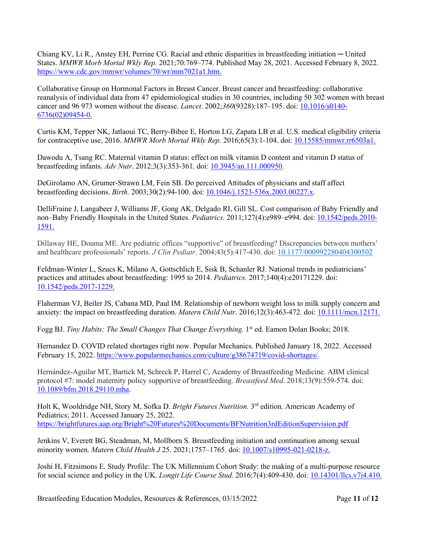Chiang KV, Li R., Anstey EH, Perrine CG. Racial and ethnic disparities in breastfeeding initiation ─ United States. *MMWR Morb Mortal Wkly Rep.* 2021;70:769–774. Published May 28, 2021. Accessed February 8, 2022. [https://www.cdc.gov/mmwr/volumes/70/wr/mm7021a1.htm.](https://www.cdc.gov/mmwr/volumes/70/wr/mm7021a1.htm)

Collaborative Group on Hormonal Factors in Breast Cancer. Breast cancer and breastfeeding: collaborative reanalysis of individual data from 47 epidemiological studies in 30 countries, including 50 302 women with breast cancer and 96 973 women without the disease. *Lancet*. 2002;*360*(9328):187–195. doi: [10.1016/s0140-](https://doi.org/10.1016/s0140-6736(02)09454-0) [6736\(02\)09454-0.](https://doi.org/10.1016/s0140-6736(02)09454-0)

Curtis KM, Tepper NK, Jatlaoui TC, Berry-Bibee E, Horton LG, Zapata LB et al. U.S. medical eligibility criteria for contraceptive use, 2016. *MMWR Morb Mortal Wkly Rep.* 2016;65(3):1-104. doi: [10.15585/mmwr.rr6503a1.](https://www.cdc.gov/mmwr/volumes/65/rr/rr6503a1.htm)

Dawodu A, Tsang RC. Maternal vitamin D status: effect on milk vitamin D content and vitamin D status of breastfeeding infants. *Adv Nutr*. 2012;3(3):353-361. doi: [10.3945/an.111.000950.](https://www.ncbi.nlm.nih.gov/pmc/articles/PMC3649470/)

DeGirolamo AN, Grumer-Strawn LM, Fein SB. Do perceived Attitudes of physicians and staff affect breastfeeding decisions. *Birth.* 2003;30(2):94-100. doi: [10.1046/j.1523-536x.2003.00227.x](https://doi.org/10.1046/j.1523-536x.2003.00227.x).

DelliFraine J, Langabeer J, Williams JF, Gong AK, Delgado RI, Gill SL. Cost comparison of Baby Friendly and non–Baby Friendly Hospitals in the United States. *Pediatrics.* 2011;127(4):e989–e994. doi: [10.1542/peds.2010-](https://doi.org/10.1542/peds.2010-1591) [1591.](https://doi.org/10.1542/peds.2010-1591)

Dillaway HE, Douma ME. Are pediatric offices "supportive" of breastfeeding? Discrepancies between mothers' and healthcare professionals' reports. *J Clin Pediatr*. 2004;43(5):417-430. doi: [10.1177/000992280404300502](https://doi.org/10.1177/000992280404300502)

Feldman-Winter L, Szucs K, Milano A, Gottschlich E, Sisk B, Schanler RJ. National trends in pediatricians' practices and attitudes about breastfeeding: 1995 to 2014. *Pediatrics.* 2017;140(4):e20171229. doi: [10.1542/peds.2017-1229.](https://doi.org/10.1542/peds.2017-1229)

Flaherman VJ, Beiler JS, Cabana MD, Paul IM. Relationship of newborn weight loss to milk supply concern and anxiety: the impact on breastfeeding duration. *Matern Child Nutr*. 2016;12(3):463-472. doi: [10.1111/mcn.12171.](https://pubmed.ncbi.nlm.nih.gov/25786348/) 

Fogg BJ. *Tiny Habits: The Small Changes That Change Everything.* 1<sup>st</sup> ed. Eamon Dolan Books; 2018.

Hernandez D. COVID related shortages right now. Popular Mechanics. Published January 18, 2022. Accessed February 15, 2022. [https://www.popularmechanics.com/culture/g38674719/covid-shortages/.](https://www.popularmechanics.com/culture/g38674719/covid-shortages/)

Hernández-Aguilar MT, Bartick M, Schreck P, Harrel C, Academy of Breastfeeding Medicine. ABM clinical protocol #7: model maternity policy supportive of breastfeeding. *Breastfeed Med*. 2018;13(9):559-574. doi: [10.1089/bfm.2018.29110.mha.](https://www.liebertpub.com/doi/10.1089/bfm.2018.29110.mha)

Holt K, Wooldridge NH, Story M, Sofka D. *Bright Futures Nutrition.* 3rd edition. American Academy of Pediatrics; 2011. Accessed January 25, 2022. <https://brightfutures.aap.org/Bright%20Futures%20Documents/BFNutrition3rdEditionSupervision.pdf>

Jenkins V, Everett BG, Steadman, M, Mollborn S*.* Breastfeeding initiation and continuation among sexual minority women. *Matern Child Health J* 25. 2021;1757–1765. doi: [10.1007/s10995-021-0218-z.](https://doi.org/10.1007/s10995-021-03218-z)

Joshi H, Fitzsimons E. Study Profile: The UK Millennium Cohort Study: the making of a multi-purpose resource for social science and policy in the UK. *Longit Life Course Stud.* 2016;7(4):409-430. doi: [10.14301/llcs.v7i4.410.](http://dx.doi.org/10.14301/llcs.v7i4.410)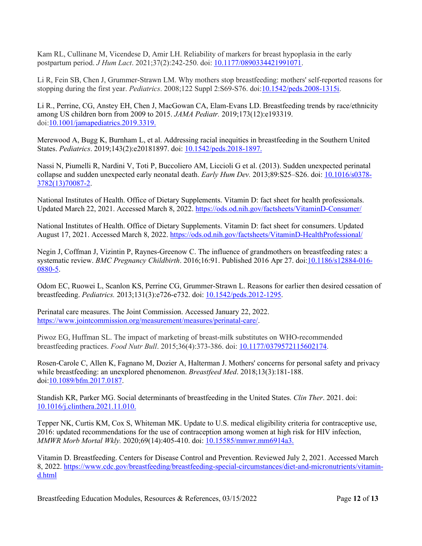Kam RL, Cullinane M, Vicendese D, Amir LH. Reliability of markers for breast hypoplasia in the early postpartum period. *J Hum Lact*. 2021;37(2):242-250. doi: [10.1177/0890334421991071.](https://journals.sagepub.com/doi/abs/10.1177/0890334421991071?journalCode=jhla)

Li R, Fein SB, Chen J, Grummer-Strawn LM. Why mothers stop breastfeeding: mothers' self-reported reasons for stopping during the first year. *Pediatrics*. 2008;122 Suppl 2:S69-S76. doi[:10.1542/peds.2008-1315i.](https://publications.aap.org/pediatrics/article-abstract/122/Supplement_2/S69/29429/Why-Mothers-Stop-Breastfeeding-Mothers-Self?redirectedFrom=fulltext)

Li R., Perrine, CG, Anstey EH, Chen J, MacGowan CA, Elam-Evans LD. Breastfeeding trends by race/ethnicity among US children born from 2009 to 2015. *JAMA Pediatr.* 2019;173(12):e193319. doi[:10.1001/jamapediatrics.2019.3319.](https://jamanetwork.com/journals/jamapediatrics/fullarticle/2753035) 

Merewood A, Bugg K, Burnham L, et al. Addressing racial inequities in breastfeeding in the Southern United States. *Pediatrics*. 2019;143(2):e20181897. doi: [10.1542/peds.2018-1897.](https://publications.aap.org/pediatrics/article/143/2/e20181897/37290/Addressing-Racial-Inequities-in-Breastfeeding-in) 

Nassi N, Piumelli R, Nardini V, Toti P, Buccoliero AM, Liccioli G et al. (2013). Sudden unexpected perinatal collapse and sudden unexpected early neonatal death. *Early Hum Dev.* 2013;89:S25–S26. doi: [10.1016/s0378-](https://doi.org/10.1016/s0378-3782(13)70087-2) [3782\(13\)70087-2.](https://doi.org/10.1016/s0378-3782(13)70087-2)

National Institutes of Health. Office of Dietary Supplements. Vitamin D: fact sheet for health professionals. Updated March 22, 2021. Accessed March 8, 2022[. https://ods.od.nih.gov/factsheets/VitaminD-Consumer/](https://ods.od.nih.gov/factsheets/VitaminD-Consumer/)

National Institutes of Health. Office of Dietary Supplements. Vitamin D: fact sheet for consumers. Updated August 17, 2021. Accessed March 8, 2022.<https://ods.od.nih.gov/factsheets/VitaminD-HealthProfessional/>

Negin J, Coffman J, Vizintin P, Raynes-Greenow C. The influence of grandmothers on breastfeeding rates: a systematic review. *BMC Pregnancy Childbirth*. 2016;16:91. Published 2016 Apr 27. doi[:10.1186/s12884-016-](https://bmcpregnancychildbirth.biomedcentral.com/articles/10.1186/s12884-016-0880-5) [0880-5.](https://bmcpregnancychildbirth.biomedcentral.com/articles/10.1186/s12884-016-0880-5)

Odom EC, Ruowei L, Scanlon KS, Perrine CG, Grummer-Strawn L. Reasons for earlier then desired cessation of breastfeeding. *Pediatrics.* 2013;131(3):e726-e732. doi: [10.1542/peds.2012-1295.](https://publications.aap.org/pediatrics/article-abstract/131/3/e726/30961/Reasons-for-Earlier-Than-Desired-Cessation-of?redirectedFrom=fulltext)

Perinatal care measures. The Joint Commission. Accessed January 22, 2022. [https://www.jointcommission.org/measurement/measures/perinatal-care/.](https://www.jointcommission.org/measurement/measures/perinatal-care/)

Piwoz EG, Huffman SL. The impact of marketing of breast-milk substitutes on WHO-recommended breastfeeding practices. *Food Nutr Bull*. 2015;36(4):373-386. doi: [10.1177/0379572115602174.](https://journals.sagepub.com/doi/10.1177/0379572115602174)

Rosen-Carole C, Allen K, Fagnano M, Dozier A, Halterman J. Mothers' concerns for personal safety and privacy while breastfeeding: an unexplored phenomenon. *Breastfeed Med*. 2018;13(3):181-188. doi[:10.1089/bfm.2017.0187.](https://www.liebertpub.com/doi/10.1089/bfm.2017.0187)

Standish KR, Parker MG. Social determinants of breastfeeding in the United States. *Clin Ther*. 2021. doi: [10.1016/j.clinthera.2021.11.010.](https://doi.org/10.1016/j.clinthera.2021.11.010)

Tepper NK, Curtis KM, Cox S, Whiteman MK. Update to U.S. medical eligibility criteria for contraceptive use, 2016: updated recommendations for the use of contraception among women at high risk for HIV infection, *MMWR Morb Mortal Wkly.* 2020;69(14):405-410. doi: [10.15585/mmwr.mm6914a3.](https://www.cdc.gov/mmwr/volumes/69/wr/mm6914a3.htm) 

Vitamin D. Breastfeeding. Centers for Disease Control and Prevention. Reviewed July 2, 2021. Accessed March 8, 2022. [https://www.cdc.gov/breastfeeding/breastfeeding-special-circumstances/diet-and-micronutrients/vitamin](https://www.cdc.gov/breastfeeding/breastfeeding-special-circumstances/diet-and-micronutrients/vitamin-d.html)[d.html](https://www.cdc.gov/breastfeeding/breastfeeding-special-circumstances/diet-and-micronutrients/vitamin-d.html) 

Breastfeeding Education Modules, Resources & References, 03/15/2022 Page **12** of **13**